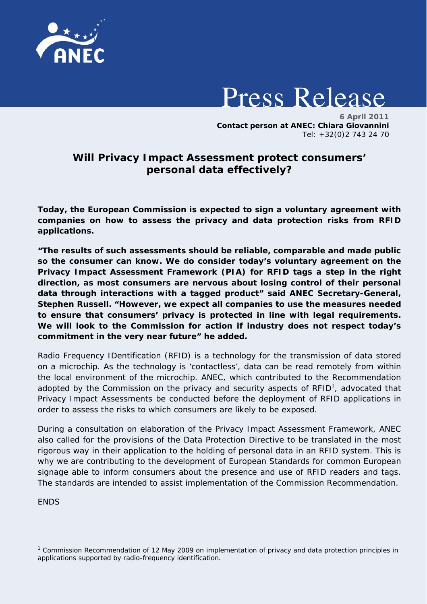

## **Press Release**

 **6 April 2011 Contact person at ANEC: Chiara Giovannini**  Tel: +32(0)2 743 24 70

## **Will Privacy Impact Assessment protect consumers' personal data effectively?**

*Today, the European Commission is expected to sign a voluntary agreement with companies on how to assess the privacy and data protection risks from RFID applications.* 

*"The results of such assessments should be reliable, comparable and made public so the consumer can know. We do consider today's voluntary agreement on the Privacy Impact Assessment Framework (PIA) for RFID tags a step in the right direction, as most consumers are nervous about losing control of their personal data through interactions with a tagged product" said ANEC Secretary-General, Stephen Russell. "However, we expect all companies to use the measures needed to ensure that consumers' privacy is protected in line with legal requirements. We will look to the Commission for action if industry does not respect today's commitment in the very near future" he added.*

Radio Frequency IDentification (RFID) is a technology for the transmission of data stored on a microchip. As the technology is 'contactless', data can be read remotely from within the local environment of the microchip. ANEC, which contributed to the Recommendation adopted by the Commission on the privacy and security aspects of RFID<sup>1</sup>, advocated that Privacy Impact Assessments be conducted before the deployment of RFID applications in order to assess the risks to which consumers are likely to be exposed.

During a consultation on elaboration of the Privacy Impact Assessment Framework, ANEC also called for the provisions of the Data Protection Directive to be translated in the most rigorous way in their application to the holding of personal data in an RFID system. This is why we are contributing to the development of European Standards for common European signage able to inform consumers about the presence and use of RFID readers and tags. The standards are intended to assist implementation of the Commission Recommendation.

**FNDS** 

<sup>&</sup>lt;sup>1</sup> Commission Recommendation of 12 May 2009 on implementation of privacy and data protection principles in applications supported by radio-frequency identification.